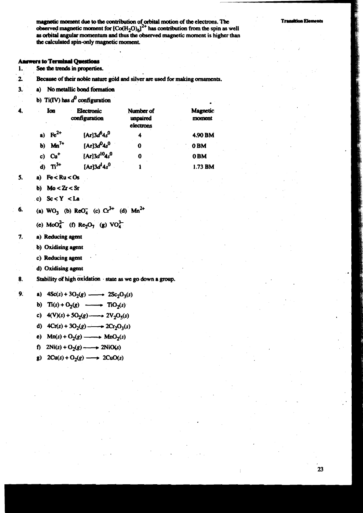magnetic moment due to the contribution of orbital motion of the electrons. The observed magnetic moment for  $[Co(H<sub>2</sub>O)<sub>6</sub>]<sup>2+</sup>$  has contribution from the spin as well as orbital angular momentum and thus the observed magnetic moment is higher than the calculated spin-only magnetic moment.

### **Answers to Terminal Questions**

- 1. See the trends in properties.
- $\overline{2}$ Because of their noble nature gold and silver are used for making ornaments.
- $3.$ a) No metallic bond formation
	- b) Ti(IV) has  $d^0$  configuration

|    | Ion<br>$\cdot$      | Electronic<br>configuration | Number of<br>unpaired<br>electrons | Magnetic<br>moment |  |  |
|----|---------------------|-----------------------------|------------------------------------|--------------------|--|--|
|    | a) $\text{Fe}^{2+}$ | $[Ar]3d^{6}4s^{0}$          |                                    | 4.90 BM            |  |  |
|    | b) $Mn^{7+}$        | [Ar] $3d^0$ 4s <sup>0</sup> | 0                                  | 0 <sub>BM</sub>    |  |  |
| c) | $Cu+$               | $[Ar]3d^{10}4s^{0}$         |                                    | 0 <sub>BM</sub>    |  |  |
| d) | $\mathbf{Ti}^{3+}$  | [Ar] $3d14s0$               |                                    | 1.73 BM            |  |  |

 $5.$ a)  $\text{Fe} < \text{Ru} < \text{Os}$ 

4.

- $Mo < Zr < Sr$ b)
- c)  $Sc < Y < La$

6. (a) 
$$
WO_3
$$
 (b)  $ReO_4^-$  (c)  $Cr^{3+}$  (d)  $Man^{2+}$ 

(e)  $MoO<sub>4</sub><sup>2</sup>$  (f) Re<sub>2</sub>O<sub>7</sub> (g) VO<sub>4</sub><sup>3</sup>

- 7. a) Reducing agent
	- b) Oxidising agent
	- c) Reducing agent
	- d) Oxidising agent
- 8. Stability of high oxidation state as we go down a group.

 $9.$ a)  $4Sc(s) + 3O_2(g)$  -  $2Sc_2O_3(s)$ 

- b)  $\text{Ti}(s) + \text{O}_2(g) \longrightarrow \text{TiO}_2(s)$
- c)  $4(V)(s) + 5O_2(g) \longrightarrow 2V_2O_5(s)$
- d)  $4Cr(s) + 3O_2(g) \longrightarrow 2Cr_2O_3(s)$
- c)  $Mn(s) + O_2(g)$  ——>  $MnO_2(s)$
- f)  $2Ni(s) + O_2(g) \longrightarrow 2NiO(s)$
- g)  $2Cu(s) + O_2(g) \longrightarrow 2CuO(s)$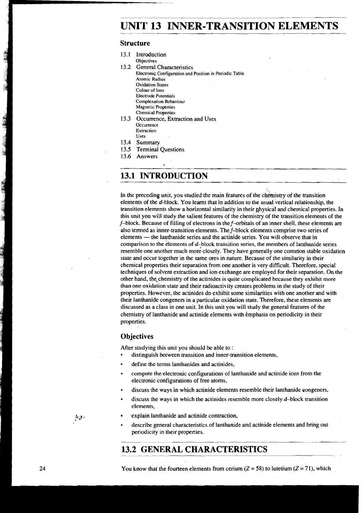# **UNIT 13 INNER-TRANSITION ELEMENTS**

# **Structure**

| 13.1 | Introduction                                            |
|------|---------------------------------------------------------|
|      | Objectives                                              |
|      | 13.2 General Characteristics                            |
|      | Electronic Configuration and Position in Periodic Table |
|      | Atomic Radius                                           |
|      | <b>Oxidation States</b>                                 |
|      | Colour of Ions                                          |
|      | Electrode Potentials                                    |
|      | Complexation Behaviour                                  |
|      | <b>Magnetic Properties</b>                              |
|      | <b>Chemical Properties</b>                              |
| 13.3 | Occurrence, Extraction and Uses                         |
|      | Occurrence                                              |
|      | Extraction                                              |
|      | Uses                                                    |
|      | 13.4 Summary                                            |
|      | 13.5 Terminal Questions                                 |
| 13.6 | Answers                                                 |
|      |                                                         |

# **13.1 INTRODUCTION**

In the preceding unit, you studied the main features of the chemistry of the transition elements of the d-block. You learnt that in addition to the usual vertical relationship, the transition elements show a horizontal similarity in their physical and chemical properties. In this unit you will study the salient features of the chemistry of the transition elements of the f-block. Because of filling of electrons in the f-orbitals of an inner shell, these elements are also termed as inner-transition elements. The  $f$ -block elements comprise two series of elements — the lanthanide series and the actinide series. You will observe that in comparison to the elements of d-block transition series, the members of lanthanide series resemble one another much more closely. They have generally one common stable oxidation state and occur together in the same ores in nature. Because of the similarity in their chemical properties their separation from one another is very difficult. Therefore, special techniques of solvent extraction and ion exchange are employed for their separation. On the other hand, the chemistry of the actinides is quite complicated because they exhibit more than one oxidation state and their radioactivity creates problems in the study of their properties. However, the actinides do exhibit some similarities with one another and with their lanthanide congeners in a particular oxidation state. Therefore, these elements are discussed as a class in one unit. In this unit you will study the general features of the chemistry of lanthanide and actinide elements with emphasis on periodicity in their properties.

# **Objectives**

After studying this unit you should be able to :

- distinguish between transition and inner-transition elements,
- define the terms lanthanides and actinides,
- compute the electronic configurations of lanthanide and actinide ions from the electronic configurations of free atoms,
- discuss the ways in which actinide elements resemble their lanthanide congeners,
- discuss the ways in which the actinides resemble more closely d-block transition elements,
- .explain lanthanide and actinide contraction,
	- describe general characteristics of lanthanide and actinide elements and bring out periodicity in their properties.

# **13.2 GENERAL CHARACTERISTICS**

You know that the fourteen elements from cerium  $(Z = 58)$  to lutetium  $(Z = 71)$ , which

 $\Delta_{\mathcal{A}}$  ,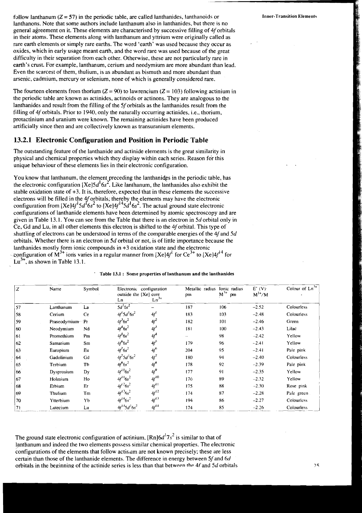follow lanthanum ( $Z = 57$ ) in the periodic table, are called lanthanides, lanthanoids or lanthanons. Note that some authors include lanthanum also in lanthanides, but there is no general agreement on it. These elements are characterised by successive filling of 4f orbitals in their atoms. These elements along with lanthanum and yttrium were originally called as rare earth elements or simply rare earths. The word 'earth' was used because they occur as oxides, which in early usage meant earth, and the word rare was used because of the great difficulty in their separation from each other. Otherwise, these are not particularly rare in earth's crust. For example, lanthanum, cerium and neodymium are more abundant than lead. Even the scarcest of them, thulium, is as abundant as bismuth and more abundant than arsenic, cadmium, mercury or selenium, none of which is generally considered rare.

The fourteen elements from thorium  $(Z = 90)$  to lawrencium  $(Z = 103)$  following actinium in the periodic table are known as actinides, actinoids or actinons. They are analogous to the lanthanides and result from the filling of the Sf orbitals as the lanthanides result from the filling of 4f orbitals. Prior to 1940, only the naturally occurring actinides, i.e., thorium, protactinium and uranium were known. The remaining actinides have been produced artificially since then and are collectively known as transuranium elements.

# **13.2.1 Electronic Configuration and Position in Periodic Table**

The outstanding feature of the lanthanide and actinide elements is the great similarity in physical and chemical properties which they display within each series. Reason for this unique behaviour of these elements lies in their electronic configuration.

You know that lanthanum, the element preceding the lanthanides in the periodic table, has the electronic configuration  $[Xe]5d^16s^2$ . Like lanthanum, the lanthanides also exhibit the stable oxidation state of  $+3$ . It is, therefore, expected that in these elements the successive electrons will be filled in the 4*f* orbitals, thereby the elements may have the electronic configuration from  $[Xe]4f^15d^16s^2$  to  $[Xe]4f^{14}5d^16s^2$ . The actual ground state electronic configurations of lanthanide elements have been determined by atomic spectroscopy and are given in Table 13.1. You can see from the Table that there is an electron in 5d orbital only in Ce, Gd and Lu, in all other elements this electron is shifted to the 4f orbital. This type of shuttling of electrons can be understood in terms of the comparable energies of the  $4f$  and  $5d$ orbitals. Whether there is an electron in 5d orbital or not, is of little importance because the lanthanides mostly form ionic compounds in +3 oxidation state and the electronic configuration of  $M^{3+}$  ions varies in a regular manner from [Xe]4 $f^1$  for Ce<sup>3+</sup> to [Xe]4 $f^{14}$  for  $Lu^{3+}$ , as shown in Table 13.1.

|  |  | Table 13.1 : Some properties of lanthanum and the lanthanides |
|--|--|---------------------------------------------------------------|
|--|--|---------------------------------------------------------------|

| Z  | Name            | Symbol | Electronic configuration<br>outside the [Xe] core<br>Ln | $Ln^{3+}$        | Metallic radius<br>pm | fonic radius<br>$M^{3+}$<br>pm | $E^{\circ}$ (V).<br>$M^{3+}/M$ | Colour of $Ln^{3+}$ |
|----|-----------------|--------|---------------------------------------------------------|------------------|-----------------------|--------------------------------|--------------------------------|---------------------|
| 57 | Lanthanum       | La     | $\overline{5d^15s^2}$                                   |                  | 187                   | 106                            | $-2.52$                        | Colourless          |
| 58 | Cerium          | Ce     | $4f^15d^16s^2$                                          | 4f <sup>1</sup>  | 183                   | 103                            | $-2.48$                        | Colourless          |
| 59 | Praseodymium Pr |        | $4f^36s^2$                                              | $4f^2$           | 182                   | 101                            | $-2.46$                        | Green               |
| 60 | Neodymium       | Nd     | $4f^46s^2$                                              | 4f <sup>3</sup>  | 181                   | 100                            | $-2.43$                        | Lilac               |
| 61 | Promethium      | Pm     | $4f^56s^2$                                              | $4f^4$           | -                     | 98                             | $-2.42$                        | Yellow              |
| 62 | Samarium        | Sm     | $4f^66s^2$                                              | $4f^5$           | 179                   | 96                             | $-2.41$                        | Yellow              |
| 63 | Europium        | Eu     | $4f^76s^2$                                              | $4f^6$           | 204                   | 95                             | $-2.41$                        | Pale pink           |
| 64 | Gadolinium      | Gd     | $4f^75d^16s^2$                                          | $4f^7$           | 180                   | 94                             | $-2.40$                        | Colourless          |
| 65 | Terbium         | Tb     | $4f^96s^2$                                              | $4f^8$           | 178                   | 92                             | $-2.39$                        | Pale pink           |
| 66 | Dysprosium      | Dy     | $4f^{10}6s^2$                                           | $4f^9$           | 177                   | 91                             | $-2.35$                        | Yellow              |
| 67 | Holmium         | Ho     | $4f^{11}6s^2$                                           | $4f^{10}$        | 176                   | 89                             | $-2.32$                        | Yellow              |
| 68 | Erbium          | Er     | $4f^{12}6s^2$                                           | 4f <sup>11</sup> | 175                   | 88                             | $-2.30$                        | Rose pink           |
| 69 | Thulium         | Tm     | $4f^{13}$ 6s <sup>2</sup>                               | $4f^{12}$        | 174                   | 87                             | $-2.28$                        | Pale green          |
| 70 | Ytterbium       | Yb     | $4f^{14}6s^2$                                           | $4f^{13}$        | 194                   | 86                             | $-2.27$                        | Colourless          |
| 71 | Lutecium        | Lu     | $4f^{14}5d^{1}6s^{2}$                                   | $4f^{14}$        | 174                   | 85                             | $-2.26$                        | Colourless          |

The ground state electronic configuration of actinium,  $[Rn]6d^{17}s^{2}$  is similar to that of lanthanum and indeed the two elements possess similar chemical properties. The electronic configurations of the elements that follow actinum are not known precisely; these are less certain than those of the lanthanide elements. The difference in energy between 5f and 6d orbitals in the beginning of the actinide series is less than that between **the** 4f and 5d orbitals Inner-Transition Elements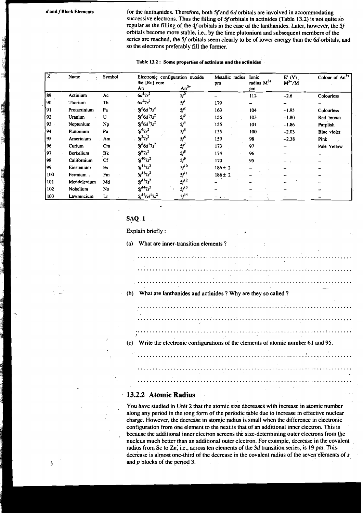$d$  and  $f$  Block Elements

for the lanthanides. Therefore, both 5f and 6d orbitals are involved in accommodating successive electrons. Thus the filling of 5f orbitals in actinides (Table 13.2) is not quite so regular as the filling of the 4f orbitals in the case of the lanthanides. Later, however, the 5f orbitals become more stable, i.e., by the time plutonium and subsequent members of the series are reached, the 5f orbitals seem clearly to be of lower energy than the 6d orbitals, and so the electrons preferably fill the former.

#### Table 13.2: Some properties of actinium and the actinides

| z<br>Name |                  | Symbol | the [Rn] core         | Electronic configuration outside | Metallic radius<br>Ionic<br>pm |                       | E'(V)<br>$M^{3+}/M$ | Colour of $An^{\overline{3+}}$ |  |
|-----------|------------------|--------|-----------------------|----------------------------------|--------------------------------|-----------------------|---------------------|--------------------------------|--|
|           |                  |        | An                    | $An^{3+}$                        |                                | radius $M^{3+}$<br>pm |                     |                                |  |
| 89        | Actinium         | Ac     | $6d^{17s^{2}}$        | $5f^0$                           |                                | 112                   | $-2.6$              | Colourless                     |  |
| 90        | Thorium          | Th     | $6d^27s^2$            | 5ſ'                              | 179                            |                       |                     |                                |  |
| [91       | Protactinium     | Pa     | $5f^26d^17s^2$        | $5f^2$                           | 163                            | 104                   | $-1.95$             | Colourless                     |  |
| 92        | Uraniun          | U      | $5f^36d^17s^2$        | $5f^3$                           | 156                            | 103                   | $-1.80$             | Red brown                      |  |
| l 93      | Neptunium        | Np     | $5f^46d^17s^2$        | 5f <sup>4</sup>                  | 155                            | 101                   | $-1.86$             | Purplish                       |  |
| 194       | Plutonium        | Pu     | $5f^{6}7s^{2}$        | 5f <sup>5</sup>                  | 155                            | 100                   | $-2.03$             | <b>Blue</b> violet             |  |
| 95        | Americium        | Am     | $5f^77s^2$            | 5f <sup>6</sup>                  | 159                            | 98                    | $-2.38$             | Pink                           |  |
| 96        | Curium           | Cm     | $5f^76d^17s^2$        | 5f <sup>7</sup>                  | 173                            | 97                    |                     | Pale Yellow                    |  |
| 197       | <b>Berkelium</b> | Bk     | $5f^97s^2$            | $5f^8$                           | 174                            | 96                    |                     |                                |  |
| 98        | Californium      | Cf     | $5f^{10}7s^2$         | $5f^0$                           | 170                            | 95                    |                     |                                |  |
| 99        | Einstenium       | Es     | $5f^{11}7s^2$         | $5f^{10}$                        | $186 \pm 2$                    |                       |                     |                                |  |
| 100       | Fermium.         | Fm     | $5f^{12}7s^2$         | $5f^{11}$                        | $186 \pm 2$                    |                       |                     |                                |  |
| 101       | Mendelevium      | Md     | $5f^{13}7s^2$         | $5f^{\prime 2}$                  |                                |                       |                     |                                |  |
| 102       | <b>Nobelium</b>  | No.    | $5f^{14}7s^2$         | $5f^{\prime 3}$                  |                                |                       |                     |                                |  |
| 103       | Lawrencium       | Lr     | $5f^{14}6d^{17s^{2}}$ | $5f^{14}$                        |                                |                       |                     |                                |  |

### SAQ 1

Explain briefly:

What are inner-transition elements?  $(a)$ 

(c) Write the electronic configurations of the elements of atomic number 61 and 95.

What are lanthanides and actinides ? Why are they so called ?  $(b)$ 

# 13.2.2 Atomic Radius

You have studied in Unit 2 that the atomic size decreases with increase in atomic number along any period in the tong form of the periodic table due to increase in effective nuclear charge. However, the decrease in atomic radius is small when the difference in electronic configuration from one element to the next is that of an additional inner electron. This is because the additional inner electron screens the size-determining outer electrons from the nucleus much better than an additional outer electron. For example, decrease in the covalent radius from Sc to Zn, i.e., across ten elements of the 3d transition series, is 19 pm. Thisdecrease is almost one-third of the decrease in the covalent radius of the seven elements of s and p blocks of the period 3.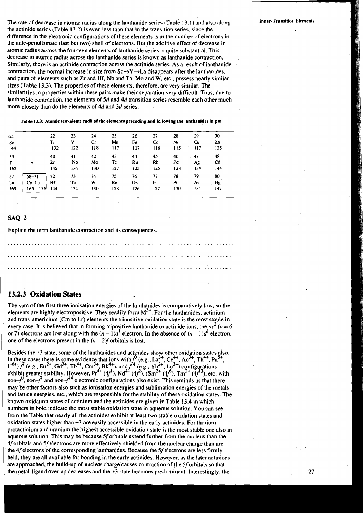The rate of decrease in atomic radius along the lanthanide series (Table 13.1) and also along Inner-Transition Elements the actinide series (Table 13.2) is even less than that in the transition series, since the difference in the electronic configurations of these elements is in the number of electrons in the ante-penultimate (last but two) shell of electrons. But the additive effect of decrease in atomic radius across the fourteen elements of lanthanide series is quite substantial. This decrease in atomic radius across the lanthanide series is known as lanthanide contraction. Similarly, there is an actinide contraction across the actinide series. As a result of lanthanide contraction, the normal increase in size from  $Sc \rightarrow Y \rightarrow La$  disappears after the lanthanides, and pairs of elements such as Zr and Hf, Nb and Ta, Mo and W, etc., possess nearly similar sizes (Table 13.3). The properties of these elements, therefore, are very similar. The similarities in properties within these pairs make their separation very difficult. Thus, due to lanthanide contraction. the elements of 5d and **4d** transition series resemble each other much more closely than do the elements of **4d** and 3d series.

Table 13.3: Atomlc (covalent) radli of the elements preceding and following the lanthanides in pm

| 21  |             | 22  | 23  | 24  | 25  | 26        | 27  | 28  | $-29$ | 30  |
|-----|-------------|-----|-----|-----|-----|-----------|-----|-----|-------|-----|
| Sc  |             | Ti  | v   | Сr  | Mn  | Fe        | Co. | Ni  | . Cu  | Zn  |
| 144 |             | 132 | 122 | 118 | 117 | 117       | 116 | 115 | 117   | 125 |
| 39  |             | 40  | 41  | 42  | 43  | 44        | 45  | 46  | .47   | 48  |
| Ÿ   | ٠,          | Zr  | NЬ  | Mo  | Tc  | Rυ        | Rh  | Pd  | Ag    | Cd  |
| 162 |             | 145 | 134 | 130 | 127 | 125       | 125 | 128 | 134   | 144 |
| 57  | $58 - 71$   | 72  | 73  | 74  | 75  | 76        | 77  | 78  | 79    | 80  |
| La  | Ce-Lu       | Hf  | Ta  | w   | Rc  | <b>Os</b> | Ir  | Pt  | Au    | Hg  |
| 169 | $165 - 156$ | 144 | 134 | 130 | 128 | 126       | 127 | 130 | 134   | 147 |

### SAQ 2

Explain the term lanthanide contraction and its consequences.

# **13.2.3 Oxidation States**

The sum of the first three ionisation energies of the lanthanides is comparatively low, so the elements are highly electropositive. They readily form  $M<sup>3+</sup>$ . For the lanthanides, actinium and trans-americium (Cm to Lr) elements the tripositive oxidation state is the most stable in every case. It is believed that in forming tripositive lanthanide or actinide ions, the  $ns^2$  ( $n = 6$ ) or 7) electrons are lost along with the  $(n-1)d^{1}$  electron. In the absence of  $(n-1)d^{1}$  electron, one of the electrons present in the  $(n - 2)f$  orbitals is lost.

Besides the **+3** state, some of the lanthanides and actinides show other oxidation states also. In these cases there is some evidence that ions with  $f''$  (e.g., La<sup>3+</sup>, Ce<sup>4+</sup>, Ac<sup>3+</sup>, Th<sup>4+</sup>, Pa<sup>3+</sup>,  $U^{\nu\tau}$ )  $f'$  (e.g., Eu<sup>2+</sup>, Gd<sup>3+</sup>, Tb<sup>4+</sup>, Cm<sup>3+</sup>, Bk<sup>4+</sup>), and  $f^{\mu\nu}$  (e.g., Yb<sup>2+</sup>, Lu<sup>3+</sup>) configurations exhibit greater stability. However,  $Pr^{4+}(4f^4)$ , Nd<sup>4+</sup> (4f<sup>2</sup>), (Sm<sup>2+</sup> (4f<sup>0</sup>), Tm<sup>2+</sup> (4f<sup>13</sup>), etc. with non- $f'$ , non- $f'$  and non- $f''$  electronic configurations also exist. This reminds us that there may be other factors also such.as ionisation energies and sublimation energies of the metals and lattice energies, etc., which are responsible for the stability of these oxidation states. The known oxidation states of actinium and the actinides are given in Table 13.4 in which numbers in bold indicate the most stable oxidation state in aqueous solution. You can see from the Table that nearly all the actinides exhibit at least two stable oxidation states and oxidation states higher than  $+3$  are easily accessible in the early actinides. For thorium, protactinium and uranium the highest accessible oxidation state is the most stable one also in aqueous solution. This may be because Sf orbitals extend further from the nucleus than the 4f orbitals and Sf electrons are more effectively shielded from the nuclear charge than are the 4f electrons of the corresponding lanthanides. Because the 5f electrons are less firmly held, they are all available for bonding in the early actinides. However, as the later actinides are approached, the build-up of nuclear charge causes contraction of the Sf orbitals so that the metal-ligand overlap decreases and the +3 state becomes predominant. Interestingly, the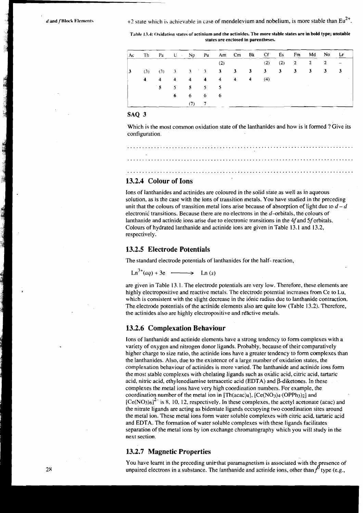*d* and *f* Block Elements **i i**  $+2$  state which is achievable in case of mendelevium and nobelium, is more stable than Eu<sup>2+</sup>

Table 13.4: Oxidation states of actinium and the actinides. The more stable states are in bold type; unstable **states are enclosed in parentheses.** 

|   |               | Ac Th Pa U Np Pu Am Cm Bk Cf Es Fm Md No Lt |         |     |  |  |                         |  |  |
|---|---------------|---------------------------------------------|---------|-----|--|--|-------------------------|--|--|
|   |               |                                             |         | (2) |  |  | $(2)$ $(2)$ $2$ $2$ $2$ |  |  |
| 3 |               | (3) (3) 3 3 3 3 3 3 3 3 3 3 3 3 3           |         |     |  |  |                         |  |  |
|   | $\sim$ $\sim$ |                                             |         |     |  |  |                         |  |  |
|   |               | $5 \t 5 \t 5 \t 5 \t 5$                     |         |     |  |  |                         |  |  |
|   |               |                                             | 6 6 6 6 |     |  |  |                         |  |  |
|   |               |                                             | $(7)$ 7 |     |  |  |                         |  |  |

# SAQ 3

Which is the most common oxidation state of the lanthanides and how is it formed  $?$  Give its configuration.

............................................................................

# **13.2.4 Colour of Ions**

Ions of lanthanides and actinides are coloured in the solid state as well as in aqueous solution, as is the case with the ions of transition metals. You have studied in the preceding unit that the colours of transition metal ions arise because of absorption of light due to  $d-d$ electronic transitions. Because there are no electrons in the  $d$ -orbitals, the colours of lanthanide and actinide ions arise due to electronic transitions in the 4f and **Sf** orbitals. Colours of hydrated lanthanide and actinide ions are given in Table 13.1 and 13.2, respectively. ectronic transitions. Because there are<br>the and actinide ions arise due to<br>blours of hydrated lanthanide and actispectively.<br>3.2.5 Electrode Potentials<br>he standard electrode potentials of lan<br> $Ln^{3+}(aq) + 3e$  ...............

# **13.2.5 Electrode Potentials**

The standard electrode potentials of lanthanides for the half- reaction,<br> $\text{Ln}^{3+}(aa) + 3e$   $\longrightarrow$   $\text{Ln}(s)$ 

are given in Table 13.1. The electrode potentials are very low. Therefore, these elements are highly electropositive and reactive metals. The electrode potential increases from Ce to Lu, which is consistent with the slight decrease in the idnic radius due to lanthanide contraction. The electrode potentials of the actinide elements also are quite low (Table 13.2). Therefore, the actinides also are highly electropositive and reactive metals.

### **13.2.6 Complexation Behaviour**

Ions of lanthanide and actinide elements have a strong tendency to form complexes with a variety of oxygen and nitrogen donor ligands. Probably, because of their comparatively higher charge to size ratio, the actinide ions have a greater tendency to form complexes than the lanthanides. Also, due to the existence of a large number of oxidation states, the complexation behaviour of actinides is more varied. The lanthanide and actinide ions form the most stable complexes with chelating ligands such as oxalic acid, citric acid, tartaric acid, nitric acid, ethylenediamine tetraacetic acid ( $EDTA$ ) and  $\beta$ -diketones. In these complexes the metal ions have very high coordination numbers. For example, the coordination number of the metal ion in [Th(acac)4]. [Ce(N03)4.(OPPh3)2] and  $[Ce(NO<sub>3</sub>)<sub>6</sub>]$ <sup>2</sup> is 8, 10, 12, respectively. In these complexes, the acetyl acetonate (acac) and the nitrate ligands are acting as bidentate ligands occupying two coordination sites around the metal ion. These metal ions form water soluble complexes with citric acid, tartaric acid and EDTA. The formation of water soluble complexes with these ligands facilitates separation of the metal ions by ion exchange chromatography which you will study in the next section.

# **13.2.7 Magnetic Properties**

You have learnt in the preceding unit-that paramagnetism is associated with the presence of unpaired electrons in a substance. The lanthanide and actinide ions, other than  $f^0$  type (e.g.,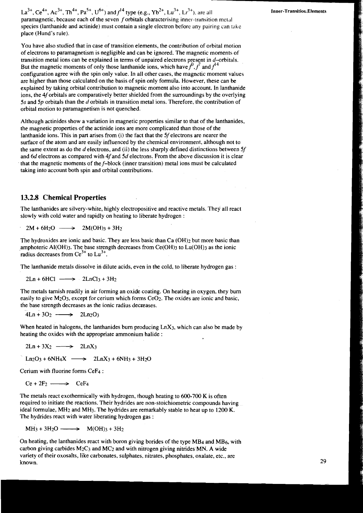You have also studied that in case of transition elements, the contribution of orbital motion of electrons to paramagnetism is negligible and can be ignored. The magnetic moments of transition metal ions can be explained in terms of unpaired electrons present in  $d$ -orbitals. But the magnetic moments of only those lanthanide ions, which have  $f<sup>0</sup>$ ,  $f'$  and  $f<sup>4</sup>$ configuration agree with the spin only value. In all other cases, the magnetic moment values are higher than those calculated on the basis of spin only formula. However, these can be explained by taking orbital contribution to magnetic moment also into account. In lanthanide ions, the 4f orbitals are comparatively better shielded from the surroundings by the overlying 5s and 5p orbitals than the d orbitals in transition metal ions. Therefore, the contribution of orbital motion to paramagnetism is not quenched.

Although actinides show a variation in magnetic properties similar to that of the lanthanides, the magnetic properties of the actinide ions are more complicated than those of the lanthanide ions. This in part arises from  $(i)$  the fact that the 5f electrons are nearer the surface of the atom and are easily influenced by the chemical environment, although not to the same extent as do the  $d$  electrons, and (ii) the less sharply defined distinctions between 5f and 6d electrons as compared with 4f and 5d electrons. From the above discussion it is clear that the magnetic moments of the f-block (inner transition) metal ions must be calculated taking into account both spin and orbital contributions.

# **13.2.8 Chemical Properties**

The lanthanides are silvery-white, highly electropositive and reactive metals. They all react slowly with cold water and rapidly on heating to liberate hydrogen : Example 1 anthanides are silvery-white, highly example 1 and 1 appendix the comparation of the 2M(OH)3 + 3H<sub>2</sub><br>2M + 6H<sub>2</sub>O - 2M(OH)3 + 3H<sub>2</sub>

The hydroxides are ionic and basic. They are less basic than  $Ca(OH)_2$  but more basic than amphoteric Al(OH)<sub>3</sub>. The base strength decreases from  $Ce(OH)$ <sub>3</sub> to  $Lu(OH)$ <sub>3</sub> as the ionic radius decreases from  $Ce^{3+}$  to  $Lu^{3+}$ .

The lanthanide metals dissolve in dilute acids, even in the cold, to liberate hydrogen gas : thus decreases from Ce to Eu .<br>
alternative in dilute<br>  $2Ln + 6HCl \longrightarrow 2LnCl_3 + 3H_2$ 

$$
2Ln + 6HCl \longrightarrow 2LnCl3 + 3H2
$$

The metals tarnish readily in air forming an oxide coating. On heating in oxygen, they bum easily to give M<sub>2</sub>O<sub>3</sub>, except for cerium which forms CeO<sub>2</sub>. The oxides are ionic and basic, the base strength decreases as the ionic radius decreases.

$$
4Ln + 3O_2 \longrightarrow 2Ln_2O_3
$$

When heated in halogens, the lanthanides burn producing  $LnX_3$ , which can also be made by heating the oxides with the appropriate ammonium halide : hen heated in halogens, the land<br>ating the oxides with the approximate  $2Ln + 3X_2 \longrightarrow 2LnX_3$ ating the oxides with the ap<br>  $2Ln + 3X_2 \longrightarrow 2Ln2$ <br>  $Ln_2O_3 + 6NH_4X \longrightarrow$ <br>
Frium with fluorine forms C<br>  $Ce + 2F_2 \longrightarrow CeF_4$ <br>
ie metals react exothermica

$$
2Ln + 3X_2 \longrightarrow 2LnX_3
$$

 $Ln_2O_3 + 6NH_4X \longrightarrow 2LnX_3 + 6NH_3 + 3H_2O$ 

Cerium with fluorine forms CeF4 :

$$
Ce + 2F_2 \longrightarrow CeF_4
$$

The metals react exothermically with hydrogen, though heating to 600-700 K is often required to initiate the reactions. Their hydrides are non-stoichiometric compounds having ideal formulae, MH2 and MH3. The hydrides are remarkably stable to heat up to 1200 K. The hydrides react with water liberating hydrogen gas : Ce + 2F<sub>2</sub>  $\longrightarrow$  CeF<sub>4</sub><br>
ne metals react exothermically with hydro<br>
quired to initiate the reactions. Their hydr<br>
eal formulae, MH<sub>2</sub> and MH<sub>3</sub>. The hydride<br>
ne hydrides react with water liberating hydr<br>
MH<sub>3</sub> + 3H<sub>2</sub>O  $\longrightarrow$ 

$$
MH_3 + 3H_2O \longrightarrow M(OH)_3 + 3H_2
$$

On heating, the lanthanides react with boron giving borides of the type  $MB<sub>4</sub>$  and  $MB<sub>6</sub>$ , with carbon giving carbides  $M_2C_3$  and  $MC_2$  and with nitrogen giving nitrides MN. A wide variety of their oxosalts, like carbonates, sulphates, nitrates, phosphates, oxalate, etc., are known.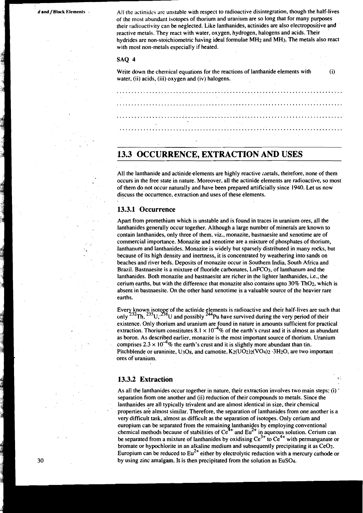*d* **and** *f* **Block Elements . All the actinides are unstable with respect to radioactive disintegration, though the half-lives** of the most abundant isotopes of thorium and uranium are so long that for many purposes their radioactivity can be neglected. Like lanthanides, actinides are also electropositive and reactive metals. They react with water, oxygen, hydrogen. halogens and acids. Their hydrides are non-stoichiometric having ideal formulae MHz and MH3. The metals also react with most non-metals especially if heated.

#### **SAQ 4**

Write down the chemical equations for the reactions of lanthanide elements with  $(i)$  water, (ii) acids, (iii) oxygen and (iv) halogens.

# **13.3 OCCURRENCE, EXTRACTION AND USES**

All the lanthanide and actinide elements are highly reactive metals, therefore, none of them occurs in the free state in nature. Moreover, all the actinide elements are radioactive, so most of them do not occur naturally and have been prepared artificially since 1940. Let us now discuss the occurrence, extraction and uses of these elements.

# **13.3.1 Occurrence**

Apart from promethium which is unstable and is found in traces in uranium ores, all the lanthanides generally occur together. Although a large number of minerals are known to contain lanthanides, only three of them, viz., monazite, bastnaesite and xenotime are of commercial importance. Monazite and xenotime are a mixture of phosphates of thorium, lanthanum and lanthanides. Monazite is widely but sparsely distributed in many rocks, but because of its high density and inertness, it is concentrated by weathering into sands on beaches and river beds. Deposits of monazite occur in Southern India, South Africa and Brazil. Bastnaesite is a mixture of fluoride carbonates, LnFCO<sub>3</sub>, of lanthanum and the lanthanides. Both monazite and bastnaesite are richer in the lighter lanthanides, i.e., the cerium earths, but with the difference that monazite alsocontains upta 30% Th02, which is absent in bastnaesite. On the other hand xenotime is a valuable source of the heavier rare earths.

Every known isotope of the actinide elements is radioactive and their half-lives are such that only  $^{232}Th$ ,  $^{235}U$ ,  $^{236}U$  and possibly  $^{244}$ Pu have survived during the very period of their existence. Only thorium and uranium are found in nature in amounts sufficient for practical extraction. Thorium constitutes  $8.1 \times 10^{-4}\%$  of the earth's crust and it is almost as abundant as boron. As described earlier, monazite is the most important source of thorium. Uranium comprises  $2.3 \times 10^{-4}$ % the earth's crust and it is slightly more abundant than tin. Pitchblende or uraninite,  $U_3O_8$ , and carnotite,  $K_2(UO_2)_2(VO_4)_2 \cdot 3H_2O$ , are two important ores **of** uranium.

# **13.3.2 Extraction**

As all the lanthanides occur together in nature, their extraction involves two main steps: (i) ' separation from one another and (ii) reduction of their compounds to metals. Since the lanthanides are all typically trivalent and are almost identical in size, their chemical properties are almost similar. Therefore, the separation of lanthanides from one another is a very difficult task, almost as difficult as the separation of isotopes. Only cerium and europium can be separated from the remaining lanthanides by employing conventional chemical methods because of stabilities of  $Ce^{4+}$  and  $Eu^{2+}$  in aqueous solution. Cerium can be separated from a mixture of lanthanides by oxidising  $Ce^{3+}$  to  $Ce^{4+}$  with permanganate or bromate or hypochlorite in an alkaline medium and subsequently precipitating it as Ce02. Europium can be reduced to  $Eu^{2+}$  either by electrolytic reduction with a mercury cathode or by using zinc amalgam. It is then precipitated from the solution as EuSO<sub>4</sub>.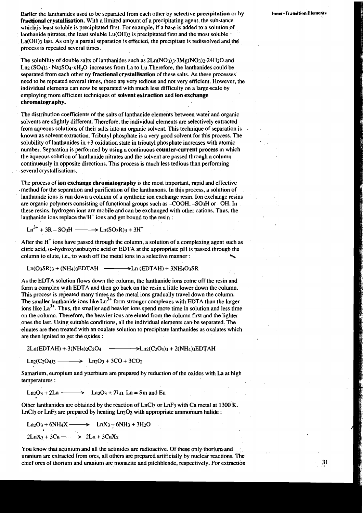Earlier the lanthanides used to be separated from each other by **selectlre precipitation** or by **fractional crystallisation.** With a limited amount of a precipitating agent, the substance which is least soluble is precipitated first. For example, if a base is added to a solution of lanthanide nitrates, the least soluble  $Lu(OH)$  is precipitated first and the most soluble - $La(OH)$ <sub>3</sub> last. As only a partial separation is effected, the precipitate is redissolved and the process is repeated several times.

The solubility of double salts of lanthanides such as **2Ln(N03)?.3Mg(N03)2.24H20** and  $\text{Ln}_{2}(\text{SO}_4)$ 3  $\cdot$  Na<sub>2</sub>SO<sub>4</sub> $\cdot$ xH<sub>2</sub>O increases from La to Lu.Therefore, the lanthanides could be separated from each other by **fractional crystallisation** of these salts. As these processes need to be repeated several times, these are very tedious and not very efficient. However, the individual elements can now be separated with much less difficulty on a large scale by employing more efficient techniques of **solvent extraction** and **ion exchange chromatography.** 

The distribution coefficients of the salts of lanthanide elements between water and organic solvents are slightly different. Therefore, the individual elements are selectively extracted from aqueous solutions of their salts into an organic solvent. This technique of separation is known as solvent extraction. Tributyl phosphate is a very good solvent for this process. The solubility of lanthanides in **+3** oxidation state in tributyl phosphate increases with atomic number. Separation is performed by using a continuous **counter-current process** in which the aqueous solution of lanthanide nitrates and the solvent are passed through a column continueusly in opposite directions. This process is much less tedious than performing several crystallisations.

The process of **ion exchange chromatography** is the most important, rapid and effective method for the separation and purification of the lanthanons. In this process, a solution of lanthanide ions is run down a column of a synthetic ion exchange resin. Ion exchange resins are organic polymers consisting of functional groups such as  $-COOH$ ,  $-SO<sub>3</sub>H$  or  $-OH$ . In these resins, hydrogen ions are mobile and can be exchanged with other cations. Thus, the lanthanide ions replace the  $H^+$  ions and get bound to the resin :

 $Ln^{3+} + 3R - SO_3H$  -  $Ln(SO_3R) + 3H^+$ 

After the  $H<sup>+</sup>$  ions have passed through the column, a solution of a complexing agent such as citric acid,  $\alpha$ -hydroxyisobutyric acid or EDTA at the appropriate pH is passed through the After the H lons have passed through the column, a solution of a complexing agent such a<br>citric acid,  $\alpha$ —hydroxyisobutyric acid or EDTA at the appropriate pH is passed through the<br>column to elute, i.e., to wash off the

 $Ln(O<sub>3</sub>SR)<sub>3</sub> + (NH<sub>4</sub>)<sub>3</sub>EDTAH$   $\longrightarrow$  Ln  $(EDTAH) + 3NH<sub>4</sub>O<sub>3</sub>SR$ 

As the EDTA solution flows down the column, the lanthanide ions come off the resin and form a complex with EDTA and then go back on the resin a little lower down the column. This process is repeated many times as the metal ions gradually travel down the column. The smaller lanthanide ions like  $\text{Lu}^{3+}$  form stronger complexes with EDTA than the larger ions like  $La^{3+}$ . Thus, the smaller and heavier ions spend more time in solution and less time on the column. Therefore, the heavier ions are eluted from the column first and the lighter ones the last. Using suitable conditions, all the individual elements can be separated. The eluates are then treated with an oxalate solution to precipitate lanthanides as oxalates which are then ignited to get the oxides :

Samarium, europium and ytterbium are prepared by reduction of the oxides with La at high temperatures : Ln203 + 2La - La203 +. 2Ln, Ln = Sm and Eu

Other lanthanides are obtained by the reaction of LnC13 or LnF3 with Ca metal at **1300** K. LnCl<sub>3</sub> or LnF<sub>3</sub> are prepared by heating Ln<sub>2</sub>O<sub>3</sub> with appropriate ammonium halide :

$$
Ln2O3 + 6NH4X \longrightarrow LnX3 - 6NH3 + 3H2O
$$
  
2LnX<sub>3</sub> + 3Ca \longrightarrow 2Ln + 3CaX<sub>2</sub>

You know that actinium and all the actinides are radioactive. Of these only thorium and uranium are extracted from ores, all others are prepared artificially by nuclear reactions. The chief ores of thorium and uranium are monazite and pitchblende, respectively. For extraction **Inner-'l'rsnsition Elements** 

 $\frac{3!}{2!}$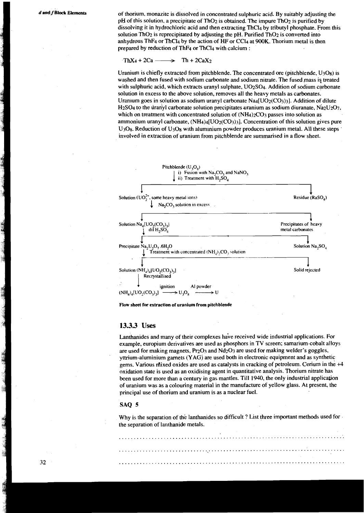**d** and **f Block Elements** of thorium, monazite is dissolved in concentrated sulphuric acid. By suitably adjusting the pH of this solution, a precipitate of ThO<sub>2</sub> is obtained. The impure ThO<sub>2</sub> is purified by dissolving it in hydrochloric acid and then extracting ThC14 by tributyl phosphate. From this solution ThO<sub>2</sub> is reprecipitated by adjusting the pH. Purified ThO<sub>2</sub> is converted into anhydrous ThF<sub>4</sub> or ThCl<sub>4</sub> by the action of HF or CCl<sub>4</sub> at 900K. Thorium metal is then prepared by reduction of ThF4 or ThCl4 with calcium :

### Th $X_4 + 2Ca \longrightarrow Th + 2CaX_2$

Uranium is chiefly extracted from pitchblende. The concentrated ore (pitchblende,  $U_3O_8$ ) is washed and then fused with sodium carbonate and sodium nitrate. The fused mass is treated with sulphuric acid, which extracts uranyl sulphate, U02S04. Addition of sodium carbonate solution in excess to the above solution, removes all the heavy metals as carbonates. Uranium goes in solution as sodium uranyl carbonate  $Na4[UO_2(CO_3)]$ . Addition of dilute H<sub>2</sub>SO<sub>4</sub> to the dranyl carbonate solution precipitates uranium as sodium diuranate,  $Na<sub>2</sub>U<sub>2</sub>O<sub>7</sub>$ , which on treatment with concentrated solution of  $(NH<sub>4</sub>)<sub>2</sub>CO<sub>3</sub>$  passes into solution as ammonium uranyl carbonate,  $(NH_4)$ <sub>4</sub>[UO<sub>2</sub>(CO<sub>3</sub>)<sub>3</sub>]. Concentration of this solution gives pure  $U<sub>3</sub>O<sub>8</sub>$ . Reduction of  $U<sub>3</sub>O<sub>8</sub>$  with aluminium powder produces uranium metal. All these steps involved in extraction of uranium from pitchblende are summarised in a flow sheet.



**Flow sheet for extraction of uranium from pitchblende** 

### **13.3.3 Uses**

Lanthanides and many of their complexes have received wide industrial applications. For example, europium derivatives are used as phosphors in TV screen; samarium-cobalt alloys are used for making magnets,  $Pr_2O_3$  and  $Nd_2O_3$  are used for making welder's goggles, yttrium-aluminium garnets (YAGj are used both in electronic equipment and as synthetic gems. Various mixed oxides are used as catalysts in cracking of petroleum. Cerium in the  $+4$ oxidation state is used as an oxidising agent in quantitative analysis. Thorium nitrate has been used for more than a century in gas mantles. Till 1940, the only industrial application of uranium was as a colouring material in the manufacture of yellow glass. At present, the principal use of thorium and uranium is as a nuclear fuel.

#### **SAQ 5**

Why is the separation of the lanthanides so difficult ? List three important methods used for the separation of lanthanide metals.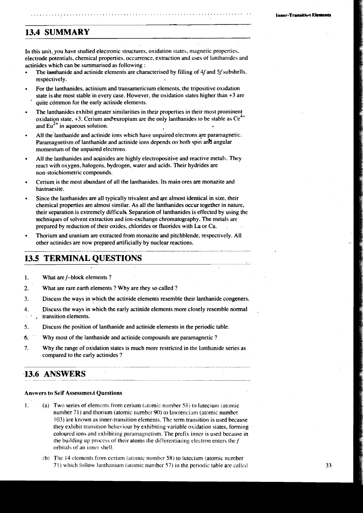# **13.4 SUMMARY**

In this unit, you have studied electronic structures, oxidation states, magnetic properties, electrode potentials, chemical properties, occurrence, extraction and uses of lanthanides and actinides which can be summarised as following :

- The lanthanide and actinide elements are characterised by filling of  $4f$  and  $5f$  subshells, respectively.
- For the lanthanides, actinium and transamericium elements, the tripositive oxidation state is the most stable in every case. However, the oxidation states higher than  $+3$  are quite cdmmon for the early actinide elements.
- The lanthanides exhibit greater similarities in their properties in their most prominent oxidation state,  $+3$ . Cerium and europium are the only lanthanides to be stable as  $Ce^{4+}$ and  $Eu^{2+}$  in aqueous solution.
- All the lanthanide and actinide ions which have unpaired electrons are paramagnetic. Paramagnetism of lanthanide and actinide ions depends on both spin and angular momentum of the unpaired'electrons.
- All the lanthanides and acrinides are highly electropositive and reactive metals. They react with oxygen, halogens, hydrogen, water and acids. Their hydrides are non-stoichiometric compounds.
- Cerium is the most abundant of all the lanthanides. Its main ores are monazite and bästnaesite.
- Since the lanthanides **are** all typically trivalent and are almost identical in size, their chemical properties are almost similar. As all the lanthanides occur together in nature, their separation is extremely difficult. Separation of lanthanides is effected by using the techniques of solvent extraction and ion-exchange chromatography. The metals are prepared by reduction of their oxides, chlorides or fluorides with La or Ca.
- Thorium and uranium are extracted from monazite and pitchblende, respectively. All other actinides are now prepared artificialiy by nuclear reactions.

# **13.5 TERMINAL QUESTIONS** -

**1.** What **are** f-block elements ?

**2.** What **are** rare earth elements ? Why are they so called ?

- **3.** Discuss the ways in which the actinide elements resemble their lanthanide congeners.
- 4. Discuss the ways in which the early actinide elements more closely resemble normal . transition elements.
- 5. Discuss the position of lanthanide and actinide elements in the periodic table.
- *6.* Why most of the lanthanide and actinide compounds are paramagnetic ?
- 7. Why the range of oxidation states is much more restricted in the lanthanide series as compared to the early actinides ?

# **13.6 ANSWERS**

#### **Answers to** Self **Assessmerat Questions**

- 1. **(a)** Two series of elements from cerium (atomic number 58) to lutecium (atomic number 71) and thorium (atomic number 90) to lawrencium (atomic number 103) are known as inner-transition elements. The term transition is used because they exhibit transition behaviour by exhibiting variable oxidation states, forming coloured ions and exhibiting paramagnetism, The prefix inner is used because in the building up process of their atoms the differentiating electron enters the  $f$ orbitals of an inner shell.
	- (b) The 14 elements from cerium (atomic number 58) to lutecium (atomic number  $71$ ) which follow lanthanium (atomic number 57) in the periodic table are called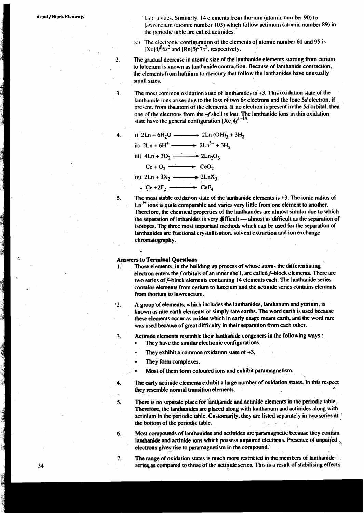**dwdf Block Elements**: **I,trip I,trip I,trip I,trip I,trip II** elements from thorium (atomic number 90) to law rencium (atomic number 103) which follow actinium (atomic number 89) in<sup>3</sup> the periodic table are called actinides.

> **(c)** Tlie clcctronic configuration of the elements of atomic number 61 and 95 is  $[Xe]4f^56s^2$  and  $[Rn]5f^77s^2$ , respectively.

2. The gradual decrease in atomic size of the lanthanide elements starting from cerium to lutecium is known as lanthanide contraction. Because of lanthanide contraction. the elements from hafnium to mercury that follow the lanthanides have unusually small sizes.

3. The most common oxidation state of lanthanides is +3. This oxidation state of the lanthanide ions arises due to the loss of two 6s electrons and the lone 5d electron. if present. from the atom of the elements. If no electron is present in the  $5d$  orbital, then one of the electrons from the 4f shell is lost. The lanthanide ions in this oxidation state have the general configuration  $[Xe]4f^{1-14}$ 

The most common oxidation state of lanthani  
small sizes.  
The most common oxidation state of lanthani  
lanthanide ions arises due to the loss of two 6.  
present, from the atom of the elements. If no e  
one of the electrons from the 4f shell is lost. T  
state have the general configuration 
$$
[Xe]4f^{1-1}
$$
  
i)  $2Ln + 6H_2O$   $\longrightarrow$   $2Ln (OH)_3 + 3H_2$   
ii)  $2Ln + 6H^+ \longrightarrow 2Ln^{3+} + 3H_2$   
iii)  $4Ln + 3O_2 \longrightarrow 2Ln_2O_3$   
 $Ce + O_2 \longrightarrow CeO_2$   
iv)  $2Ln + 3X_2 \longrightarrow Cef_4$   
The most stable oxidation state of the lanthani  
 $Ln^{3+}$  ions is quite comparable and varies very

5. The most stable oxidation state of the lanthanide elements is  $+3$ . The ionic radius of  $Ln<sup>3+</sup>$  ions is quite comparable and varies very little from one element to another. Therefore, the chemical properties of the lanthanides **are** almost similar due to which the separation of lathanides is very difficult  $-$  almost as difficult as the separation of isotopes. The three most important methods which can be used for the separation of lanthanides **are** fractional crystallisation. solvent extraction and ion exchange chromatography.

#### **<sup>C</sup>Answers** to **Terminal Questions**

 $\ddot{\phantom{a}}$ 

4.

- 1. Those elements, in the building up process of whose atoms the differentiating electron enters the f orbitals of an inner shell. **are** called f-block elements. There **are**  two series of f-block elements containing 14 elements each. The lanthanide series contains elements from cerium to lutecium and the actinide series contains elements from thorium to lawrencium.
- $\cdot$ 2. A group of elements, which includes the lanthanides, lanthanum and yttrium, is known as rare earth elements or simply rare earths. The word earth is used because these elements occur as oxides which in early usage meant earth. and the word rare was used because of great difficulty in their separation from each other.
- 3. Actinide elements resemble their lanthanide congeners in the following ways :
	- They have the similar electronic configurations.
	- They exhibit a common oxidation state of  $+3$ ,
	- They form complexes,
	- Most of them form coloured ions and exhibit paramagnetism.
- **4.** The early actinide elements exhibit a large number of oxidation states. In this respect they resemble normal transition elements.
- 5. There is no separate place for lanthanide and actinide elements in the periodic table. Therefore, the lanthanides are placed along with lanthanum and actinides along with actinium in the periodic table. Customarily, they are listed separately in two series at the bottom of **the** periodic table.

**6.** Most compounds of lanthanides **and** actinides **are** paramagnetic because they conbin lanthanide and actinide ions which possess unpaired electrons. Presence of unpaired electrons gives rise to paramagnetism in the compound.

7. The range of oxidation states is much more restricted in the members of lanthanide series as compared to those of the actinide series. This is a result of stabilising effects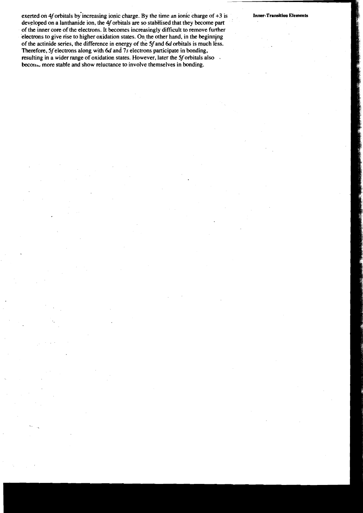exerted on 4f orbitals by increasing ionic charge. By the time an ionic charge of  $+3$  is developed on a lanthanide ion, the 4f orbitals are so stabilised that they become part of the inner core of the electrons. It becomes increasingly difficult to remove further electrons to give rise to higher oxidation states. On the other hand, in the beginning of the actinide series, the difference in energy of the 5f and 6d orbitals is much less. Therefore, 5f electrons along with  $6d$  and  $7s$  electrons participate in bonding, resulting in a wider range of oxidation states. However, later the 5f orbitals also becom. more stable and show reluctance to involve themselves in bonding.

**Inner-Transition Elements**